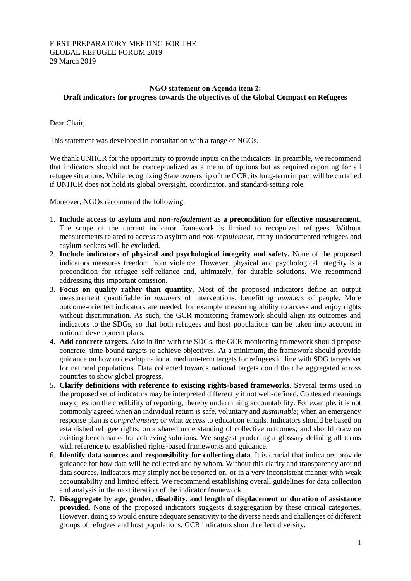## FIRST PREPARATORY MEETING FOR THE GLOBAL REFUGEE FORUM 2019 29 March 2019

## **NGO statement on Agenda item 2: Draft indicators for progress towards the objectives of the Global Compact on Refugees**

Dear Chair,

This statement was developed in consultation with a range of NGOs.

We thank UNHCR for the opportunity to provide inputs on the indicators. In preamble, we recommend that indicators should not be conceptualized as a menu of options but as required reporting for all refugee situations. While recognizing State ownership of the GCR, its long-term impact will be curtailed if UNHCR does not hold its global oversight, coordinator, and standard-setting role.

Moreover, NGOs recommend the following:

- 1. **Include access to asylum and** *non-refoulement* **as a precondition for effective measurement**. The scope of the current indicator framework is limited to recognized refugees. Without measurements related to access to asylum and *non-refoulement*, many undocumented refugees and asylum-seekers will be excluded.
- 2. **Include indicators of physical and psychological integrity and safety.** None of the proposed indicators measures freedom from violence. However, physical and psychological integrity is a precondition for refugee self-reliance and, ultimately, for durable solutions. We recommend addressing this important omission.
- 3. **Focus on quality rather than quantity**. Most of the proposed indicators define an output measurement quantifiable in *numbers* of interventions, benefitting *numbers* of people. More outcome-oriented indicators are needed, for example measuring ability to access and enjoy rights without discrimination. As such, the GCR monitoring framework should align its outcomes and indicators to the SDGs, so that both refugees and host populations can be taken into account in national development plans.
- 4. **Add concrete targets**. Also in line with the SDGs, the GCR monitoring framework should propose concrete, time-bound targets to achieve objectives. At a minimum, the framework should provide guidance on how to develop national medium-term targets for refugees in line with SDG targets set for national populations. Data collected towards national targets could then be aggregated across countries to show global progress.
- 5. **Clarify definitions with reference to existing rights-based frameworks**. Several terms used in the proposed set of indicators may be interpreted differently if not well-defined. Contested meanings may question the credibility of reporting, thereby undermining accountability. For example, it is not commonly agreed when an individual return is safe, voluntary and *sustainable*; when an emergency response plan is *comprehensive*; or what *access* to education entails. Indicators should be based on established refugee rights; on a shared understanding of collective outcomes; and should draw on existing benchmarks for achieving solutions. We suggest producing a glossary defining all terms with reference to established rights-based frameworks and guidance.
- 6. **Identify data sources and responsibility for collecting data**. It is crucial that indicators provide guidance for how data will be collected and by whom. Without this clarity and transparency around data sources, indicators may simply not be reported on, or in a very inconsistent manner with weak accountability and limited effect. We recommend establishing overall guidelines for data collection and analysis in the next iteration of the indicator framework.
- **7. Disaggregate by age, gender, disability, and length of displacement or duration of assistance provided.** None of the proposed indicators suggests disaggregation by these critical categories. However, doing so would ensure adequate sensitivity to the diverse needs and challenges of different groups of refugees and host populations. GCR indicators should reflect diversity.